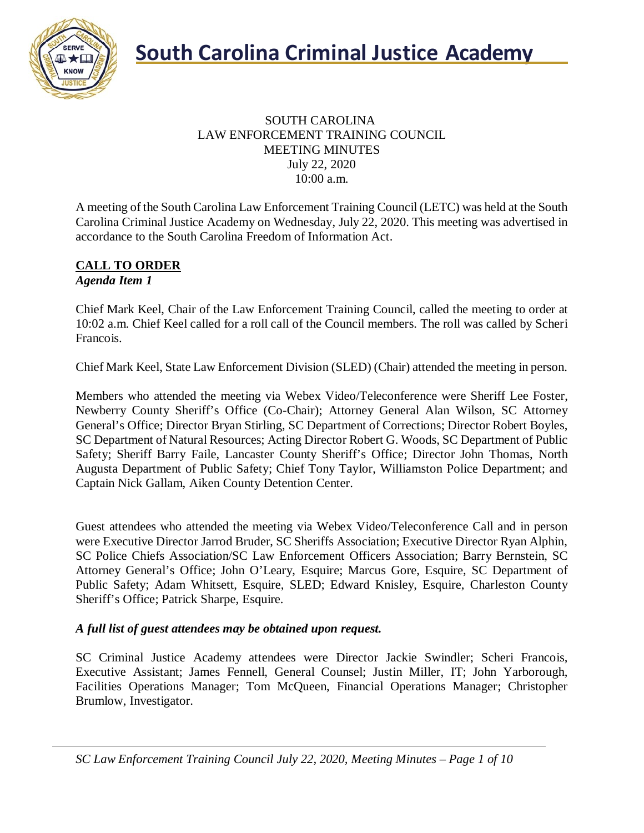



#### SOUTH CAROLINA LAW ENFORCEMENT TRAINING COUNCIL MEETING MINUTES July 22, 2020 10:00 a.m.

A meeting of the South Carolina Law Enforcement Training Council (LETC) was held at the South Carolina Criminal Justice Academy on Wednesday, July 22, 2020. This meeting was advertised in accordance to the South Carolina Freedom of Information Act.

#### **CALL TO ORDER** *Agenda Item 1*

Chief Mark Keel, Chair of the Law Enforcement Training Council, called the meeting to order at 10:02 a.m. Chief Keel called for a roll call of the Council members. The roll was called by Scheri Francois.

Chief Mark Keel, State Law Enforcement Division (SLED) (Chair) attended the meeting in person.

Members who attended the meeting via Webex Video/Teleconference were Sheriff Lee Foster, Newberry County Sheriff's Office (Co-Chair); Attorney General Alan Wilson, SC Attorney General's Office; Director Bryan Stirling, SC Department of Corrections; Director Robert Boyles, SC Department of Natural Resources; Acting Director Robert G. Woods, SC Department of Public Safety; Sheriff Barry Faile, Lancaster County Sheriff's Office; Director John Thomas, North Augusta Department of Public Safety; Chief Tony Taylor, Williamston Police Department; and Captain Nick Gallam, Aiken County Detention Center.

Guest attendees who attended the meeting via Webex Video/Teleconference Call and in person were Executive Director Jarrod Bruder, SC Sheriffs Association; Executive Director Ryan Alphin, SC Police Chiefs Association/SC Law Enforcement Officers Association; Barry Bernstein, SC Attorney General's Office; John O'Leary, Esquire; Marcus Gore, Esquire, SC Department of Public Safety; Adam Whitsett, Esquire, SLED; Edward Knisley, Esquire, Charleston County Sheriff's Office; Patrick Sharpe, Esquire.

#### *A full list of guest attendees may be obtained upon request.*

SC Criminal Justice Academy attendees were Director Jackie Swindler; Scheri Francois, Executive Assistant; James Fennell, General Counsel; Justin Miller, IT; John Yarborough, Facilities Operations Manager; Tom McQueen, Financial Operations Manager; Christopher Brumlow, Investigator.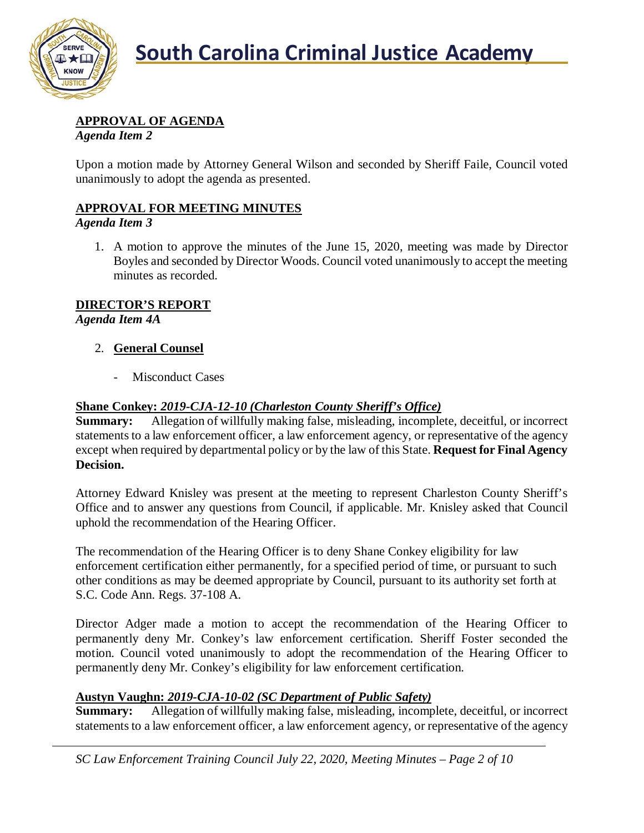

# **APPROVAL OF AGENDA**

*Agenda Item 2*

Upon a motion made by Attorney General Wilson and seconded by Sheriff Faile, Council voted unanimously to adopt the agenda as presented.

# **APPROVAL FOR MEETING MINUTES**

#### *Agenda Item 3*

1. A motion to approve the minutes of the June 15, 2020, meeting was made by Director Boyles and seconded by Director Woods. Council voted unanimously to accept the meeting minutes as recorded.

# **DIRECTOR'S REPORT**

*Agenda Item 4A*

# 2. **General Counsel**

- Misconduct Cases

# **Shane Conkey:** *2019-CJA-12-10 (Charleston County Sheriff's Office)*

**Summary:** Allegation of willfully making false, misleading, incomplete, deceitful, or incorrect statements to a law enforcement officer, a law enforcement agency, or representative of the agency except when required by departmental policy or by the law of this State. **Request for Final Agency Decision.**

Attorney Edward Knisley was present at the meeting to represent Charleston County Sheriff's Office and to answer any questions from Council, if applicable. Mr. Knisley asked that Council uphold the recommendation of the Hearing Officer.

The recommendation of the Hearing Officer is to deny Shane Conkey eligibility for law enforcement certification either permanently, for a specified period of time, or pursuant to such other conditions as may be deemed appropriate by Council, pursuant to its authority set forth at S.C. Code Ann. Regs. 37-108 A.

Director Adger made a motion to accept the recommendation of the Hearing Officer to permanently deny Mr. Conkey's law enforcement certification. Sheriff Foster seconded the motion. Council voted unanimously to adopt the recommendation of the Hearing Officer to permanently deny Mr. Conkey's eligibility for law enforcement certification.

### **Austyn Vaughn:** *2019-CJA-10-02 (SC Department of Public Safety)*

**Summary:** Allegation of willfully making false, misleading, incomplete, deceitful, or incorrect statements to a law enforcement officer, a law enforcement agency, or representative of the agency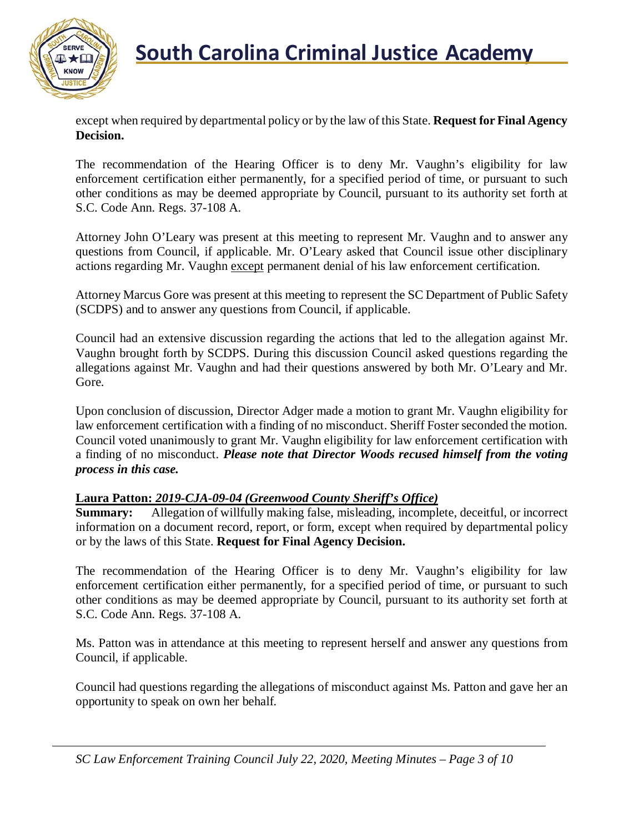

except when required by departmental policy or by the law of this State. **Request for Final Agency Decision.**

The recommendation of the Hearing Officer is to deny Mr. Vaughn's eligibility for law enforcement certification either permanently, for a specified period of time, or pursuant to such other conditions as may be deemed appropriate by Council, pursuant to its authority set forth at S.C. Code Ann. Regs. 37-108 A.

Attorney John O'Leary was present at this meeting to represent Mr. Vaughn and to answer any questions from Council, if applicable. Mr. O'Leary asked that Council issue other disciplinary actions regarding Mr. Vaughn except permanent denial of his law enforcement certification.

Attorney Marcus Gore was present at this meeting to represent the SC Department of Public Safety (SCDPS) and to answer any questions from Council, if applicable.

Council had an extensive discussion regarding the actions that led to the allegation against Mr. Vaughn brought forth by SCDPS. During this discussion Council asked questions regarding the allegations against Mr. Vaughn and had their questions answered by both Mr. O'Leary and Mr. Gore.

Upon conclusion of discussion, Director Adger made a motion to grant Mr. Vaughn eligibility for law enforcement certification with a finding of no misconduct. Sheriff Foster seconded the motion. Council voted unanimously to grant Mr. Vaughn eligibility for law enforcement certification with a finding of no misconduct. *Please note that Director Woods recused himself from the voting process in this case.*

### **Laura Patton:** *2019-CJA-09-04 (Greenwood County Sheriff's Office)*

**Summary:** Allegation of willfully making false, misleading, incomplete, deceitful, or incorrect information on a document record, report, or form, except when required by departmental policy or by the laws of this State. **Request for Final Agency Decision.**

The recommendation of the Hearing Officer is to deny Mr. Vaughn's eligibility for law enforcement certification either permanently, for a specified period of time, or pursuant to such other conditions as may be deemed appropriate by Council, pursuant to its authority set forth at S.C. Code Ann. Regs. 37-108 A.

Ms. Patton was in attendance at this meeting to represent herself and answer any questions from Council, if applicable.

Council had questions regarding the allegations of misconduct against Ms. Patton and gave her an opportunity to speak on own her behalf.

*SC Law Enforcement Training Council July 22, 2020, Meeting Minutes – Page 3 of 10*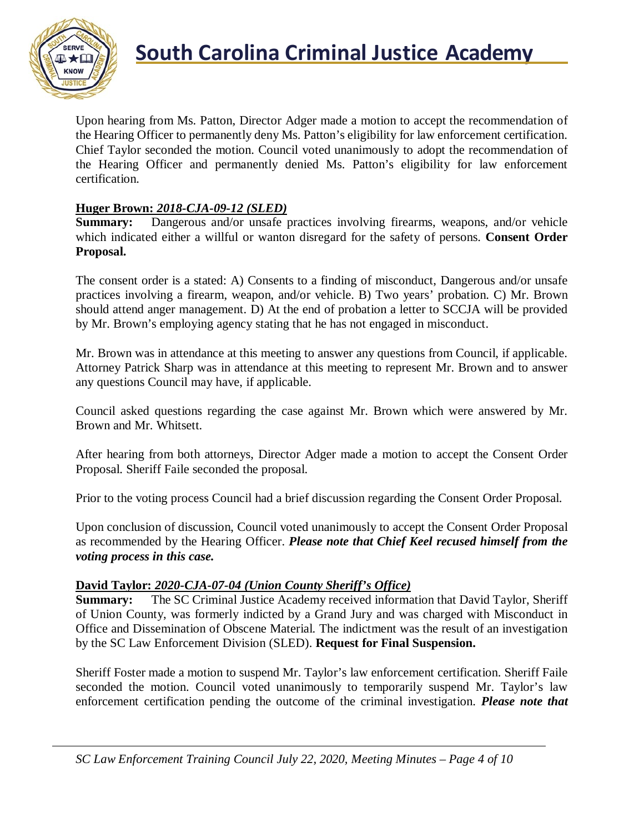

Upon hearing from Ms. Patton, Director Adger made a motion to accept the recommendation of the Hearing Officer to permanently deny Ms. Patton's eligibility for law enforcement certification. Chief Taylor seconded the motion. Council voted unanimously to adopt the recommendation of the Hearing Officer and permanently denied Ms. Patton's eligibility for law enforcement certification.

#### **Huger Brown:** *2018-CJA-09-12 (SLED)*

**Summary:** Dangerous and/or unsafe practices involving firearms, weapons, and/or vehicle which indicated either a willful or wanton disregard for the safety of persons. **Consent Order Proposal.**

The consent order is a stated: A) Consents to a finding of misconduct, Dangerous and/or unsafe practices involving a firearm, weapon, and/or vehicle. B) Two years' probation. C) Mr. Brown should attend anger management. D) At the end of probation a letter to SCCJA will be provided by Mr. Brown's employing agency stating that he has not engaged in misconduct.

Mr. Brown was in attendance at this meeting to answer any questions from Council, if applicable. Attorney Patrick Sharp was in attendance at this meeting to represent Mr. Brown and to answer any questions Council may have, if applicable.

Council asked questions regarding the case against Mr. Brown which were answered by Mr. Brown and Mr. Whitsett.

After hearing from both attorneys, Director Adger made a motion to accept the Consent Order Proposal. Sheriff Faile seconded the proposal.

Prior to the voting process Council had a brief discussion regarding the Consent Order Proposal.

Upon conclusion of discussion, Council voted unanimously to accept the Consent Order Proposal as recommended by the Hearing Officer. *Please note that Chief Keel recused himself from the voting process in this case.*

#### **David Taylor:** *2020-CJA-07-04 (Union County Sheriff's Office)*

**Summary:** The SC Criminal Justice Academy received information that David Taylor, Sheriff of Union County, was formerly indicted by a Grand Jury and was charged with Misconduct in Office and Dissemination of Obscene Material. The indictment was the result of an investigation by the SC Law Enforcement Division (SLED). **Request for Final Suspension.**

Sheriff Foster made a motion to suspend Mr. Taylor's law enforcement certification. Sheriff Faile seconded the motion. Council voted unanimously to temporarily suspend Mr. Taylor's law enforcement certification pending the outcome of the criminal investigation. *Please note that*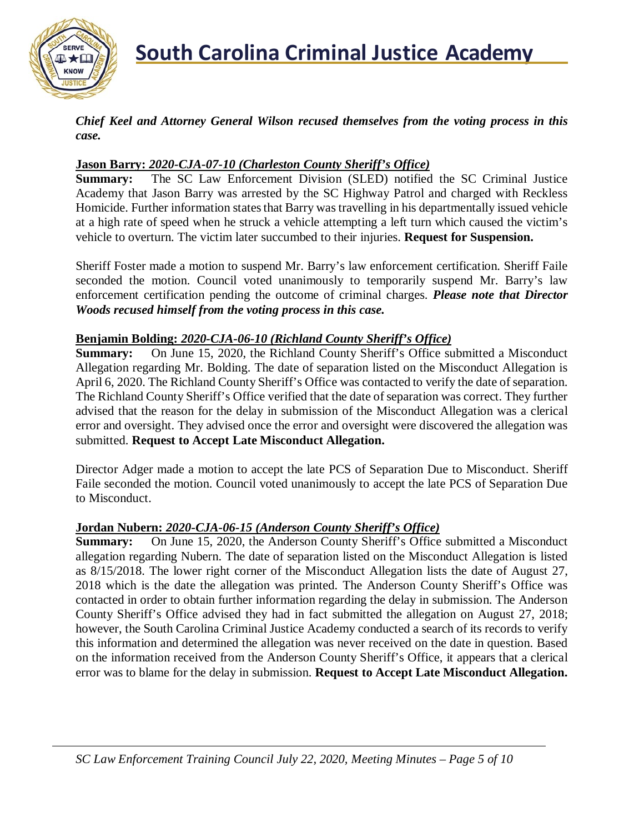

*Chief Keel and Attorney General Wilson recused themselves from the voting process in this case.*

#### **Jason Barry:** *2020-CJA-07-10 (Charleston County Sheriff's Office)*

**Summary:** The SC Law Enforcement Division (SLED) notified the SC Criminal Justice Academy that Jason Barry was arrested by the SC Highway Patrol and charged with Reckless Homicide. Further information states that Barry was travelling in his departmentally issued vehicle at a high rate of speed when he struck a vehicle attempting a left turn which caused the victim's vehicle to overturn. The victim later succumbed to their injuries. **Request for Suspension.**

Sheriff Foster made a motion to suspend Mr. Barry's law enforcement certification. Sheriff Faile seconded the motion. Council voted unanimously to temporarily suspend Mr. Barry's law enforcement certification pending the outcome of criminal charges. *Please note that Director Woods recused himself from the voting process in this case.*

#### **Benjamin Bolding:** *2020-CJA-06-10 (Richland County Sheriff's Office)*

**Summary:** On June 15, 2020, the Richland County Sheriff's Office submitted a Misconduct Allegation regarding Mr. Bolding. The date of separation listed on the Misconduct Allegation is April 6, 2020. The Richland County Sheriff's Office was contacted to verify the date of separation. The Richland County Sheriff's Office verified that the date of separation was correct. They further advised that the reason for the delay in submission of the Misconduct Allegation was a clerical error and oversight. They advised once the error and oversight were discovered the allegation was submitted. **Request to Accept Late Misconduct Allegation.**

Director Adger made a motion to accept the late PCS of Separation Due to Misconduct. Sheriff Faile seconded the motion. Council voted unanimously to accept the late PCS of Separation Due to Misconduct.

#### **Jordan Nubern:** *2020-CJA-06-15 (Anderson County Sheriff's Office)*

**Summary:** On June 15, 2020, the Anderson County Sheriff's Office submitted a Misconduct allegation regarding Nubern. The date of separation listed on the Misconduct Allegation is listed as 8/15/2018. The lower right corner of the Misconduct Allegation lists the date of August 27, 2018 which is the date the allegation was printed. The Anderson County Sheriff's Office was contacted in order to obtain further information regarding the delay in submission. The Anderson County Sheriff's Office advised they had in fact submitted the allegation on August 27, 2018; however, the South Carolina Criminal Justice Academy conducted a search of its records to verify this information and determined the allegation was never received on the date in question. Based on the information received from the Anderson County Sheriff's Office, it appears that a clerical error was to blame for the delay in submission. **Request to Accept Late Misconduct Allegation.**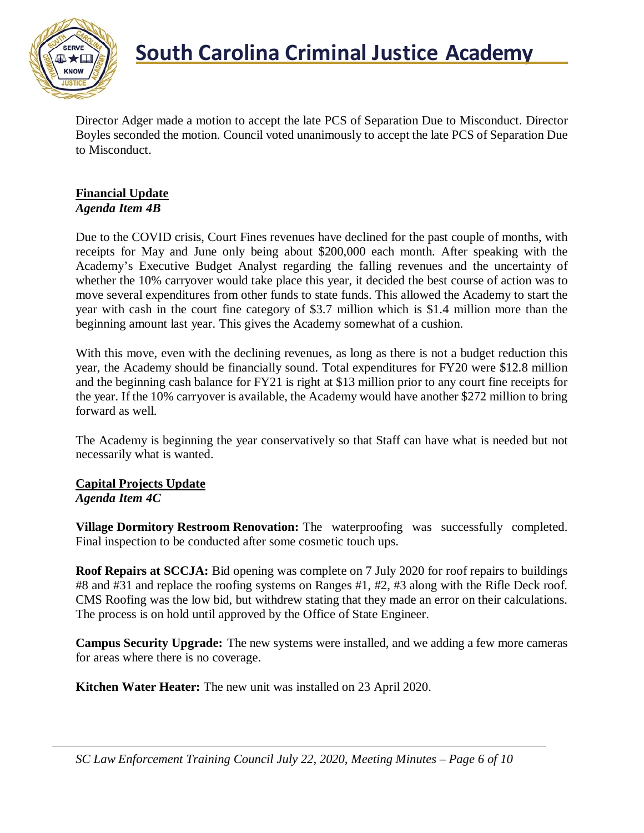

Director Adger made a motion to accept the late PCS of Separation Due to Misconduct. Director Boyles seconded the motion. Council voted unanimously to accept the late PCS of Separation Due to Misconduct.

#### **Financial Update** *Agenda Item 4B*

Due to the COVID crisis, Court Fines revenues have declined for the past couple of months, with receipts for May and June only being about \$200,000 each month. After speaking with the Academy's Executive Budget Analyst regarding the falling revenues and the uncertainty of whether the 10% carryover would take place this year, it decided the best course of action was to move several expenditures from other funds to state funds. This allowed the Academy to start the year with cash in the court fine category of \$3.7 million which is \$1.4 million more than the beginning amount last year. This gives the Academy somewhat of a cushion.

With this move, even with the declining revenues, as long as there is not a budget reduction this year, the Academy should be financially sound. Total expenditures for FY20 were \$12.8 million and the beginning cash balance for FY21 is right at \$13 million prior to any court fine receipts for the year. If the 10% carryover is available, the Academy would have another \$272 million to bring forward as well.

The Academy is beginning the year conservatively so that Staff can have what is needed but not necessarily what is wanted.

#### **Capital Projects Update** *Agenda Item 4C*

**Village Dormitory Restroom Renovation:** The waterproofing was successfully completed. Final inspection to be conducted after some cosmetic touch ups.

**Roof Repairs at SCCJA:** Bid opening was complete on 7 July 2020 for roof repairs to buildings #8 and #31 and replace the roofing systems on Ranges #1, #2, #3 along with the Rifle Deck roof. CMS Roofing was the low bid, but withdrew stating that they made an error on their calculations. The process is on hold until approved by the Office of State Engineer.

**Campus Security Upgrade:** The new systems were installed, and we adding a few more cameras for areas where there is no coverage.

**Kitchen Water Heater:** The new unit was installed on 23 April 2020.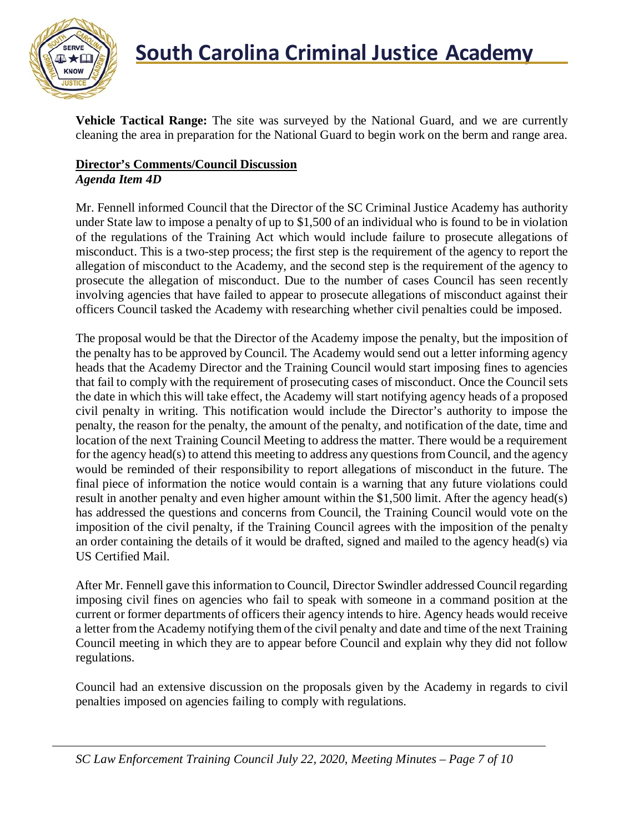

**Vehicle Tactical Range:** The site was surveyed by the National Guard, and we are currently cleaning the area in preparation for the National Guard to begin work on the berm and range area.

### **Director's Comments/Council Discussion** *Agenda Item 4D*

Mr. Fennell informed Council that the Director of the SC Criminal Justice Academy has authority under State law to impose a penalty of up to \$1,500 of an individual who is found to be in violation of the regulations of the Training Act which would include failure to prosecute allegations of misconduct. This is a two-step process; the first step is the requirement of the agency to report the allegation of misconduct to the Academy, and the second step is the requirement of the agency to prosecute the allegation of misconduct. Due to the number of cases Council has seen recently involving agencies that have failed to appear to prosecute allegations of misconduct against their officers Council tasked the Academy with researching whether civil penalties could be imposed.

The proposal would be that the Director of the Academy impose the penalty, but the imposition of the penalty has to be approved by Council. The Academy would send out a letter informing agency heads that the Academy Director and the Training Council would start imposing fines to agencies that fail to comply with the requirement of prosecuting cases of misconduct. Once the Council sets the date in which this will take effect, the Academy will start notifying agency heads of a proposed civil penalty in writing. This notification would include the Director's authority to impose the penalty, the reason for the penalty, the amount of the penalty, and notification of the date, time and location of the next Training Council Meeting to address the matter. There would be a requirement for the agency head(s) to attend this meeting to address any questions from Council, and the agency would be reminded of their responsibility to report allegations of misconduct in the future. The final piece of information the notice would contain is a warning that any future violations could result in another penalty and even higher amount within the \$1,500 limit. After the agency head(s) has addressed the questions and concerns from Council, the Training Council would vote on the imposition of the civil penalty, if the Training Council agrees with the imposition of the penalty an order containing the details of it would be drafted, signed and mailed to the agency head(s) via US Certified Mail.

After Mr. Fennell gave this information to Council, Director Swindler addressed Council regarding imposing civil fines on agencies who fail to speak with someone in a command position at the current or former departments of officers their agency intends to hire. Agency heads would receive a letter from the Academy notifying them of the civil penalty and date and time of the next Training Council meeting in which they are to appear before Council and explain why they did not follow regulations.

Council had an extensive discussion on the proposals given by the Academy in regards to civil penalties imposed on agencies failing to comply with regulations.

*SC Law Enforcement Training Council July 22, 2020, Meeting Minutes – Page 7 of 10*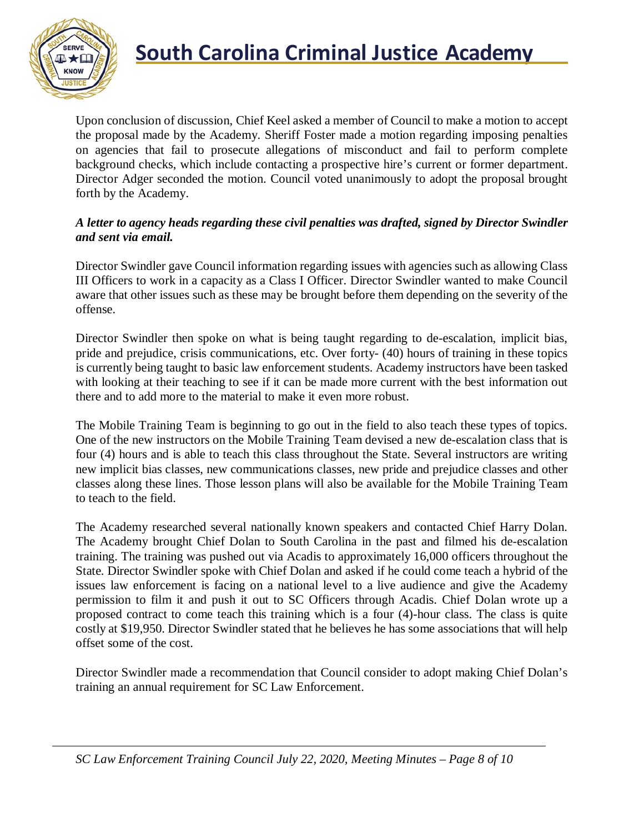

# **South Carolina Criminal Justice Academy**

Upon conclusion of discussion, Chief Keel asked a member of Council to make a motion to accept the proposal made by the Academy. Sheriff Foster made a motion regarding imposing penalties on agencies that fail to prosecute allegations of misconduct and fail to perform complete background checks, which include contacting a prospective hire's current or former department. Director Adger seconded the motion. Council voted unanimously to adopt the proposal brought forth by the Academy.

#### *A letter to agency heads regarding these civil penalties was drafted, signed by Director Swindler and sent via email.*

Director Swindler gave Council information regarding issues with agencies such as allowing Class III Officers to work in a capacity as a Class I Officer. Director Swindler wanted to make Council aware that other issues such as these may be brought before them depending on the severity of the offense.

Director Swindler then spoke on what is being taught regarding to de-escalation, implicit bias, pride and prejudice, crisis communications, etc. Over forty- (40) hours of training in these topics is currently being taught to basic law enforcement students. Academy instructors have been tasked with looking at their teaching to see if it can be made more current with the best information out there and to add more to the material to make it even more robust.

The Mobile Training Team is beginning to go out in the field to also teach these types of topics. One of the new instructors on the Mobile Training Team devised a new de-escalation class that is four (4) hours and is able to teach this class throughout the State. Several instructors are writing new implicit bias classes, new communications classes, new pride and prejudice classes and other classes along these lines. Those lesson plans will also be available for the Mobile Training Team to teach to the field.

The Academy researched several nationally known speakers and contacted Chief Harry Dolan. The Academy brought Chief Dolan to South Carolina in the past and filmed his de-escalation training. The training was pushed out via Acadis to approximately 16,000 officers throughout the State. Director Swindler spoke with Chief Dolan and asked if he could come teach a hybrid of the issues law enforcement is facing on a national level to a live audience and give the Academy permission to film it and push it out to SC Officers through Acadis. Chief Dolan wrote up a proposed contract to come teach this training which is a four (4)-hour class. The class is quite costly at \$19,950. Director Swindler stated that he believes he has some associations that will help offset some of the cost.

Director Swindler made a recommendation that Council consider to adopt making Chief Dolan's training an annual requirement for SC Law Enforcement.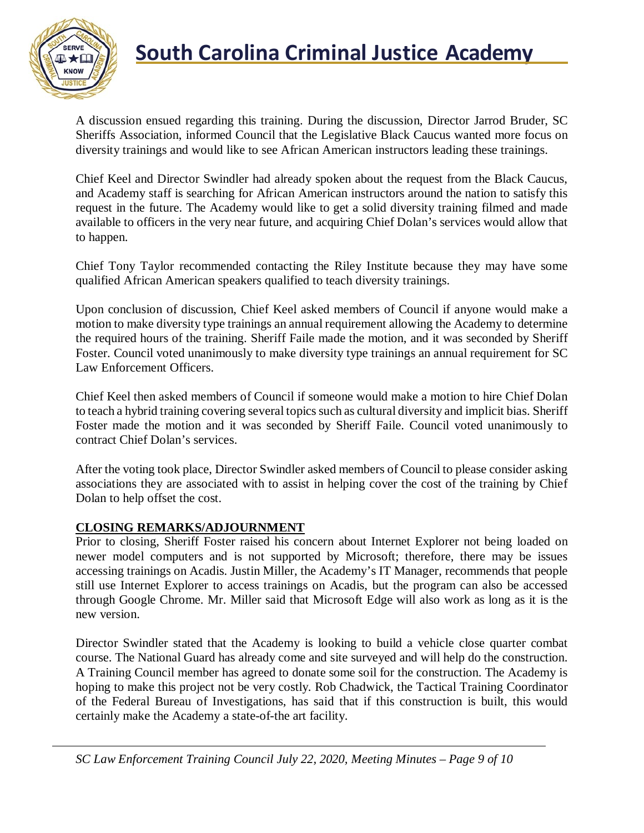

# **South Carolina Criminal Justice Academy**

A discussion ensued regarding this training. During the discussion, Director Jarrod Bruder, SC Sheriffs Association, informed Council that the Legislative Black Caucus wanted more focus on diversity trainings and would like to see African American instructors leading these trainings.

Chief Keel and Director Swindler had already spoken about the request from the Black Caucus, and Academy staff is searching for African American instructors around the nation to satisfy this request in the future. The Academy would like to get a solid diversity training filmed and made available to officers in the very near future, and acquiring Chief Dolan's services would allow that to happen.

Chief Tony Taylor recommended contacting the Riley Institute because they may have some qualified African American speakers qualified to teach diversity trainings.

Upon conclusion of discussion, Chief Keel asked members of Council if anyone would make a motion to make diversity type trainings an annual requirement allowing the Academy to determine the required hours of the training. Sheriff Faile made the motion, and it was seconded by Sheriff Foster. Council voted unanimously to make diversity type trainings an annual requirement for SC Law Enforcement Officers.

Chief Keel then asked members of Council if someone would make a motion to hire Chief Dolan to teach a hybrid training covering several topics such as cultural diversity and implicit bias. Sheriff Foster made the motion and it was seconded by Sheriff Faile. Council voted unanimously to contract Chief Dolan's services.

After the voting took place, Director Swindler asked members of Council to please consider asking associations they are associated with to assist in helping cover the cost of the training by Chief Dolan to help offset the cost.

#### **CLOSING REMARKS/ADJOURNMENT**

Prior to closing, Sheriff Foster raised his concern about Internet Explorer not being loaded on newer model computers and is not supported by Microsoft; therefore, there may be issues accessing trainings on Acadis. Justin Miller, the Academy's IT Manager, recommends that people still use Internet Explorer to access trainings on Acadis, but the program can also be accessed through Google Chrome. Mr. Miller said that Microsoft Edge will also work as long as it is the new version.

Director Swindler stated that the Academy is looking to build a vehicle close quarter combat course. The National Guard has already come and site surveyed and will help do the construction. A Training Council member has agreed to donate some soil for the construction. The Academy is hoping to make this project not be very costly. Rob Chadwick, the Tactical Training Coordinator of the Federal Bureau of Investigations, has said that if this construction is built, this would certainly make the Academy a state-of-the art facility.

*SC Law Enforcement Training Council July 22, 2020, Meeting Minutes – Page 9 of 10*